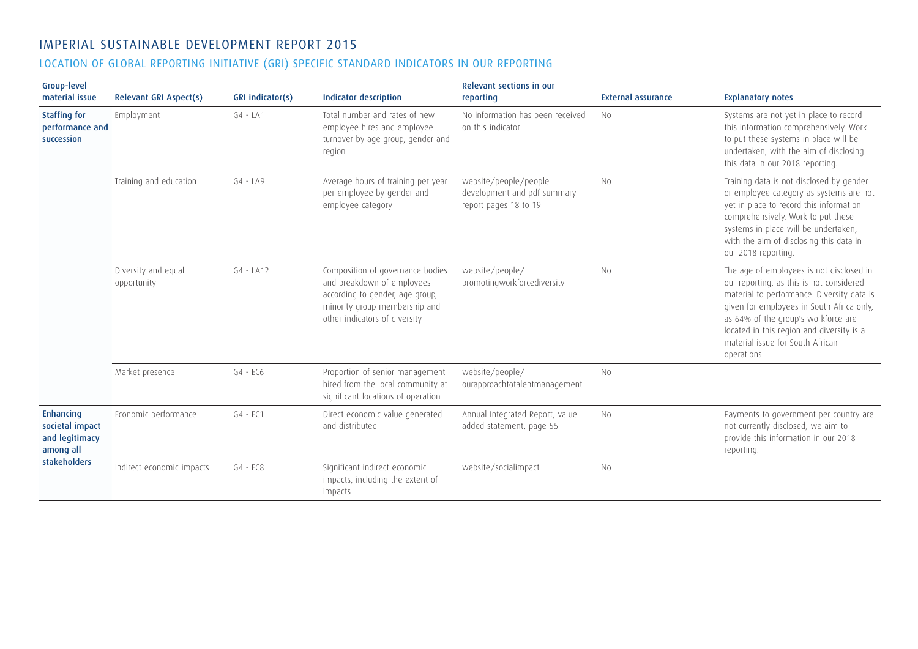## IMPERIAL SUSTAINABLE DEVELOPMENT REPORT 2015

## LOCATION OF GLOBAL REPORTING INITIATIVE (GRI) SPECIFIC STANDARD INDICATORS IN OUR REPORTING

| <b>Group-level</b><br>material issue                                        | <b>Relevant GRI Aspect(s)</b>      | GRI indicator(s) | Indicator description                                                                                                                                               | <b>Relevant sections in our</b><br>reporting                                  | <b>External assurance</b> | <b>Explanatory notes</b>                                                                                                                                                                                                                                                                                               |
|-----------------------------------------------------------------------------|------------------------------------|------------------|---------------------------------------------------------------------------------------------------------------------------------------------------------------------|-------------------------------------------------------------------------------|---------------------------|------------------------------------------------------------------------------------------------------------------------------------------------------------------------------------------------------------------------------------------------------------------------------------------------------------------------|
| <b>Staffing for</b><br>performance and<br>succession                        | Employment                         | $G4 - LA1$       | Total number and rates of new<br>employee hires and employee<br>turnover by age group, gender and<br>region                                                         | No information has been received<br>on this indicator                         | <b>No</b>                 | Systems are not yet in place to record<br>this information comprehensively. Work<br>to put these systems in place will be<br>undertaken, with the aim of disclosing<br>this data in our 2018 reporting.                                                                                                                |
|                                                                             | Training and education             | $G4 - LA9$       | Average hours of training per year<br>per employee by gender and<br>employee category                                                                               | website/people/people<br>development and pdf summary<br>report pages 18 to 19 | No                        | Training data is not disclosed by gender<br>or employee category as systems are not<br>yet in place to record this information<br>comprehensively. Work to put these<br>systems in place will be undertaken,<br>with the aim of disclosing this data in<br>our 2018 reporting.                                         |
|                                                                             | Diversity and equal<br>opportunity | $G4 - LA12$      | Composition of governance bodies<br>and breakdown of employees<br>according to gender, age group,<br>minority group membership and<br>other indicators of diversity | website/people/<br>promotingworkforcediversity                                | No                        | The age of employees is not disclosed in<br>our reporting, as this is not considered<br>material to performance. Diversity data is<br>given for employees in South Africa only,<br>as 64% of the group's workforce are<br>located in this region and diversity is a<br>material issue for South African<br>operations. |
|                                                                             | Market presence                    | $G4 - ECG$       | Proportion of senior management<br>hired from the local community at<br>significant locations of operation                                                          | website/people/<br>ourapproachtotalentmanagement                              | <b>No</b>                 |                                                                                                                                                                                                                                                                                                                        |
| Enhancing<br>societal impact<br>and legitimacy<br>among all<br>stakeholders | Economic performance               | $G4 - EC1$       | Direct economic value generated<br>and distributed                                                                                                                  | Annual Integrated Report, value<br>added statement, page 55                   | <b>No</b>                 | Payments to government per country are<br>not currently disclosed, we aim to<br>provide this information in our 2018<br>reporting.                                                                                                                                                                                     |
|                                                                             | Indirect economic impacts          | $G4 - ECS$       | Significant indirect economic<br>impacts, including the extent of<br>impacts                                                                                        | website/socialimpact                                                          | N <sub>0</sub>            |                                                                                                                                                                                                                                                                                                                        |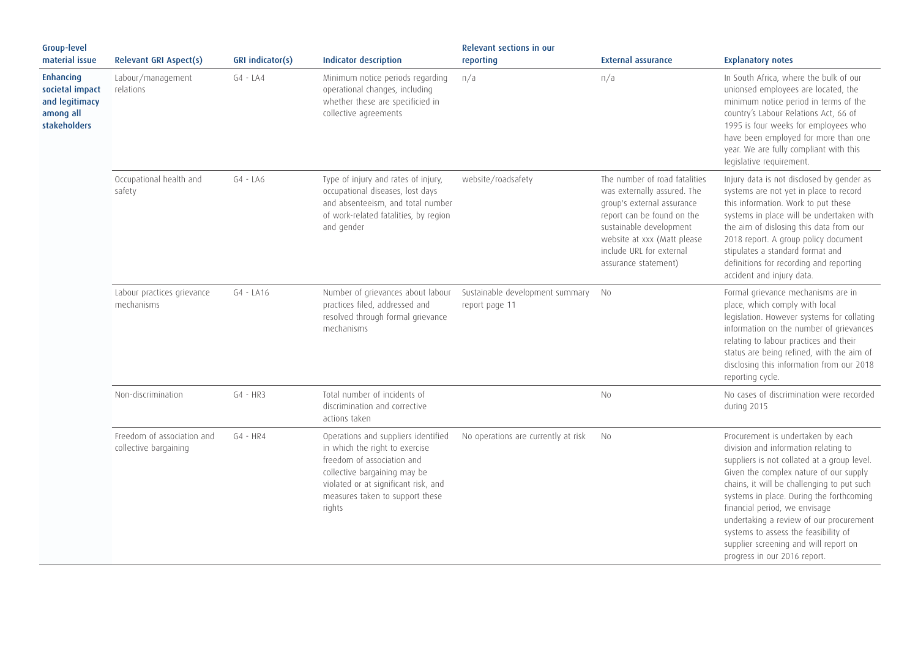| Group-level<br>material issue                                                             | <b>Relevant GRI Aspect(s)</b>                       | GRI indicator(s) | Indicator description                                                                                                                                                                                                    | Relevant sections in our<br>reporting             | <b>External assurance</b>                                                                                                                                                                                                              | <b>Explanatory notes</b>                                                                                                                                                                                                                                                                                                                                                                                                                                  |
|-------------------------------------------------------------------------------------------|-----------------------------------------------------|------------------|--------------------------------------------------------------------------------------------------------------------------------------------------------------------------------------------------------------------------|---------------------------------------------------|----------------------------------------------------------------------------------------------------------------------------------------------------------------------------------------------------------------------------------------|-----------------------------------------------------------------------------------------------------------------------------------------------------------------------------------------------------------------------------------------------------------------------------------------------------------------------------------------------------------------------------------------------------------------------------------------------------------|
| <b>Enhancing</b><br>societal impact<br>and legitimacy<br>among all<br><b>stakeholders</b> | Labour/management<br>relations                      | $G4 - LA4$       | Minimum notice periods regarding<br>operational changes, including<br>whether these are specificied in<br>collective agreements                                                                                          | n/a                                               | n/a                                                                                                                                                                                                                                    | In South Africa, where the bulk of our<br>unionsed employees are located, the<br>minimum notice period in terms of the<br>country's Labour Relations Act, 66 of<br>1995 is four weeks for employees who<br>have been employed for more than one<br>year. We are fully compliant with this<br>legislative requirement.                                                                                                                                     |
|                                                                                           | Occupational health and<br>safety                   | $G4 - LA6$       | Type of injury and rates of injury,<br>occupational diseases, lost days<br>and absenteeism, and total number<br>of work-related fatalities, by region<br>and gender                                                      | website/roadsafety                                | The number of road fatalities<br>was externally assured. The<br>group's external assurance<br>report can be found on the<br>sustainable development<br>website at xxx (Matt please<br>include URL for external<br>assurance statement) | Injury data is not disclosed by gender as<br>systems are not yet in place to record<br>this information. Work to put these<br>systems in place will be undertaken with<br>the aim of dislosing this data from our<br>2018 report. A group policy document<br>stipulates a standard format and<br>definitions for recording and reporting<br>accident and injury data.                                                                                     |
|                                                                                           | Labour practices grievance<br>mechanisms            | $G4 - LA16$      | Number of grievances about labour<br>practices filed, addressed and<br>resolved through formal grievance<br>mechanisms                                                                                                   | Sustainable development summary<br>report page 11 | <b>No</b>                                                                                                                                                                                                                              | Formal grievance mechanisms are in<br>place, which comply with local<br>legislation. However systems for collating<br>information on the number of grievances<br>relating to labour practices and their<br>status are being refined, with the aim of<br>disclosing this information from our 2018<br>reporting cycle.                                                                                                                                     |
|                                                                                           | Non-discrimination                                  | $G4 - HR3$       | Total number of incidents of<br>discrimination and corrective<br>actions taken                                                                                                                                           |                                                   | No                                                                                                                                                                                                                                     | No cases of discrimination were recorded<br>during 2015                                                                                                                                                                                                                                                                                                                                                                                                   |
|                                                                                           | Freedom of association and<br>collective bargaining | $G4 - HR4$       | Operations and suppliers identified<br>in which the right to exercise<br>freedom of association and<br>collective bargaining may be<br>violated or at significant risk, and<br>measures taken to support these<br>rights | No operations are currently at risk               | <b>No</b>                                                                                                                                                                                                                              | Procurement is undertaken by each<br>division and information relating to<br>suppliers is not collated at a group level.<br>Given the complex nature of our supply<br>chains, it will be challenging to put such<br>systems in place. During the forthcoming<br>financial period, we envisage<br>undertaking a review of our procurement<br>systems to assess the feasibility of<br>supplier screening and will report on<br>progress in our 2016 report. |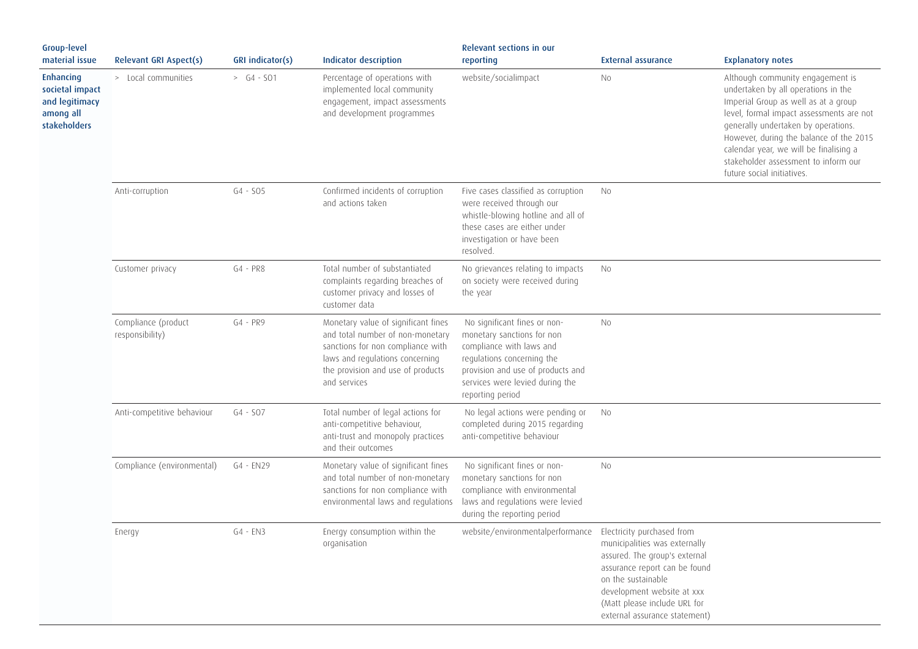| Group-level<br>material issue                                               | <b>Relevant GRI Aspect(s)</b>          | GRI indicator(s) | <b>Indicator description</b>                                                                                                                                                                         | Relevant sections in our<br>reporting                                                                                                                                                                            | <b>External assurance</b>                                                                                                                                                                                            | <b>Explanatory notes</b>                                                                                                                                                                                                                                                                                                                                      |
|-----------------------------------------------------------------------------|----------------------------------------|------------------|------------------------------------------------------------------------------------------------------------------------------------------------------------------------------------------------------|------------------------------------------------------------------------------------------------------------------------------------------------------------------------------------------------------------------|----------------------------------------------------------------------------------------------------------------------------------------------------------------------------------------------------------------------|---------------------------------------------------------------------------------------------------------------------------------------------------------------------------------------------------------------------------------------------------------------------------------------------------------------------------------------------------------------|
| Enhancing<br>societal impact<br>and legitimacy<br>among all<br>stakeholders | > Local communities                    | $> G4 - SO1$     | Percentage of operations with<br>implemented local community<br>engagement, impact assessments<br>and development programmes                                                                         | website/socialimpact                                                                                                                                                                                             | No                                                                                                                                                                                                                   | Although community engagement is<br>undertaken by all operations in the<br>Imperial Group as well as at a group<br>level, formal impact assessments are not<br>generally undertaken by operations.<br>However, during the balance of the 2015<br>calendar year, we will be finalising a<br>stakeholder assessment to inform our<br>future social initiatives. |
|                                                                             | Anti-corruption                        | $G4 - SO5$       | Confirmed incidents of corruption<br>and actions taken                                                                                                                                               | Five cases classified as corruption<br>were received through our<br>whistle-blowing hotline and all of<br>these cases are either under<br>investigation or have been<br>resolved.                                | <b>No</b>                                                                                                                                                                                                            |                                                                                                                                                                                                                                                                                                                                                               |
|                                                                             | Customer privacy                       | G4 - PR8         | Total number of substantiated<br>complaints regarding breaches of<br>customer privacy and losses of<br>customer data                                                                                 | No grievances relating to impacts<br>on society were received during<br>the year                                                                                                                                 | <b>No</b>                                                                                                                                                                                                            |                                                                                                                                                                                                                                                                                                                                                               |
|                                                                             | Compliance (product<br>responsibility) | $G4 - PR9$       | Monetary value of significant fines<br>and total number of non-monetary<br>sanctions for non compliance with<br>laws and regulations concerning<br>the provision and use of products<br>and services | No significant fines or non-<br>monetary sanctions for non<br>compliance with laws and<br>regulations concerning the<br>provision and use of products and<br>services were levied during the<br>reporting period | <b>No</b>                                                                                                                                                                                                            |                                                                                                                                                                                                                                                                                                                                                               |
|                                                                             | Anti-competitive behaviour             | $G4 - SO7$       | Total number of legal actions for<br>anti-competitive behaviour,<br>anti-trust and monopoly practices<br>and their outcomes                                                                          | No legal actions were pending or<br>completed during 2015 regarding<br>anti-competitive behaviour                                                                                                                | No                                                                                                                                                                                                                   |                                                                                                                                                                                                                                                                                                                                                               |
|                                                                             | Compliance (environmental)             | G4 - EN29        | Monetary value of significant fines<br>and total number of non-monetary<br>sanctions for non compliance with<br>environmental laws and regulations                                                   | No significant fines or non-<br>monetary sanctions for non<br>compliance with environmental<br>laws and regulations were levied<br>during the reporting period                                                   | No                                                                                                                                                                                                                   |                                                                                                                                                                                                                                                                                                                                                               |
|                                                                             | Energy                                 | $G4 - EN3$       | Energy consumption within the<br>organisation                                                                                                                                                        | website/environmentalperformance Electricity purchased from                                                                                                                                                      | municipalities was externally<br>assured. The group's external<br>assurance report can be found<br>on the sustainable<br>development website at xxx<br>(Matt please include URL for<br>external assurance statement) |                                                                                                                                                                                                                                                                                                                                                               |